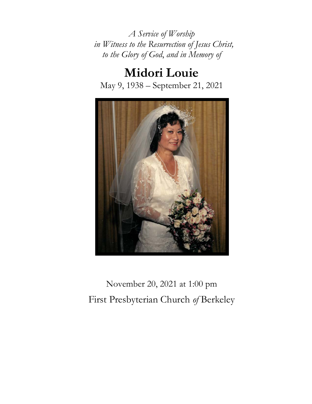*A Service of Worship in Witness to the Resurrection of Jesus Christ, to the Glory of God*, *and in Memory of*

**Midori Louie** May 9, 1938 – September 21, 2021



November 20, 2021 at 1:00 pm First Presbyterian Church *of* Berkeley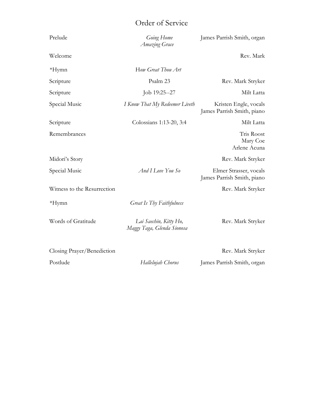## Order of Service

| Prelude                     | Going Home<br>Amazing Grace                          | James Parrish Smith, organ                           |
|-----------------------------|------------------------------------------------------|------------------------------------------------------|
| Welcome                     |                                                      | Rev. Mark                                            |
| $*Hymn$                     | How Great Thou Art                                   |                                                      |
| Scripture                   | Psalm 23                                             | Rev. Mark Stryker                                    |
| Scripture                   | Job 19:25--27                                        | Milt Latta                                           |
| Special Music               | I Know That My Redeemer Liveth                       | Kristen Engle, vocals<br>James Parrish Smith, piano  |
| Scripture                   | Colossians 1:13-20, 3:4                              | Milt Latta                                           |
| Remembrances                |                                                      | Tris Roost<br>Mary Coe<br>Arlene Acuna               |
| Midori's Story              |                                                      | Rev. Mark Stryker                                    |
| Special Music               | And I Love You So                                    | Elmer Strasser, vocals<br>James Parrish Smith, piano |
| Witness to the Resurrection |                                                      | Rev. Mark Stryker                                    |
| $*Hymn$                     | Great Is Thy Faithfulness                            |                                                      |
| Words of Gratitude          | Lai Saechin, Kitty Ho,<br>Maggy Taga, Glenda Sionosa | Rev. Mark Stryker                                    |
| Closing Prayer/Benediction  |                                                      | Rev. Mark Stryker                                    |
| Postlude                    | Hallelujah Chorus                                    | James Parrish Smith, organ                           |